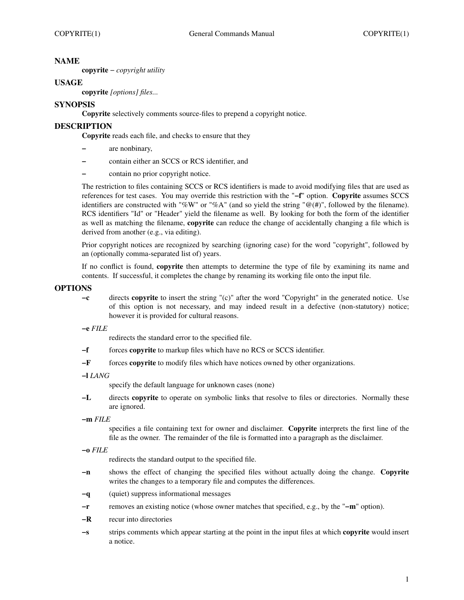### **NAME**

**copyrite** − *copyright utility*

### **USAGE**

**copyrite** *[options] files...*

### **SYNOPSIS**

**Copyrite** selectively comments source-files to prepend a copyright notice.

### **DESCRIPTION**

**Copyrite** reads each file, and checks to ensure that they

- **−** are nonbinary,
- **−** contain either an SCCS or RCS identifier, and
- **−** contain no prior copyright notice.

The restriction to files containing SCCS or RCS identifiers is made to avoid modifying files that are used as references for test cases. You may override this restriction with the "**−f**" option. **Copyrite** assumes SCCS identifiers are constructed with "%W" or "%A" (and so yield the string " $@(\#)$ ", followed by the filename). RCS identifiers "Id" or "Header" yield the filename as well. By looking for both the form of the identifier as well as matching the filename, **copyrite** can reduce the change of accidentally changing a file which is derived from another (e.g., via editing).

Prior copyright notices are recognized by searching (ignoring case) for the word "copyright", followed by an (optionally comma-separated list of) years.

If no conflict is found, **copyrite** then attempts to determine the type of file by examining its name and contents. If successful, it completes the change by renaming its working file onto the input file.

#### **OPTIONS**

**−c** directs **copyrite** to insert the string "(c)" after the word "Copyright" in the generated notice. Use of this option is not necessary, and may indeed result in a defective (non-statutory) notice; however it is provided for cultural reasons.

**−e** *FILE*

redirects the standard error to the specified file.

- **−f** forces **copyrite** to markup files which have no RCS or SCCS identifier.
- **−F** forces **copyrite** to modify files which have notices owned by other organizations.

**−l** *LANG*

specify the default language for unknown cases (none)

**−L** directs **copyrite** to operate on symbolic links that resolve to files or directories. Normally these are ignored.

**−m** *FILE*

specifies a file containing text for owner and disclaimer. **Copyrite** interprets the first line of the file as the owner. The remainder of the file is formatted into a paragraph as the disclaimer.

- redirects the standard output to the specified file.
- **−n** shows the effect of changing the specified files without actually doing the change. **Copyrite** writes the changes to a temporary file and computes the differences.
- **−q** (quiet) suppress informational messages
- **−r** removes an existing notice (whose owner matches that specified, e.g., by the "**−m**" option).
- **−R** recur into directories
- **−s** strips comments which appear starting at the point in the input files at which **copyrite** would insert a notice.

**<sup>−</sup>o** *FILE*